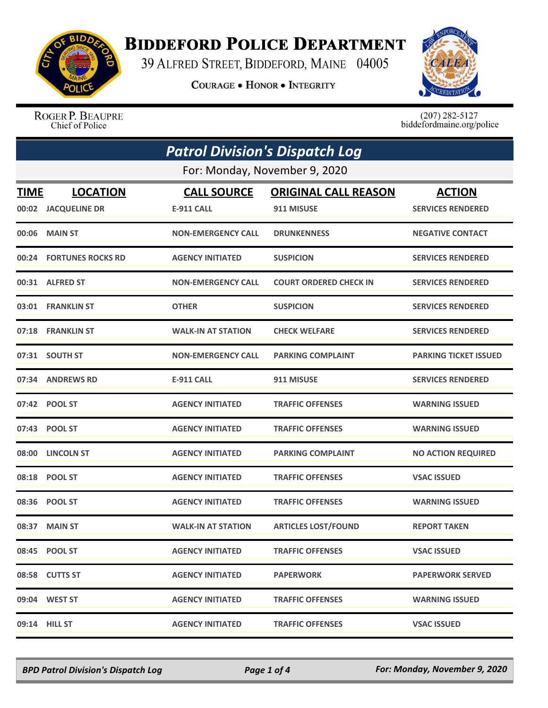

## **BIDDEFORD POLICE DEPARTMENT**

39 ALFRED STREET, BIDDEFORD, MAINE 04005

**COURAGE . HONOR . INTEGRITY** 



ROGER P. BEAUPRE Chief of Police

 $(207)$  282-5127 biddefordmaine.org/police

| <b>Patrol Division's Dispatch Log</b> |                               |                           |                               |                              |  |  |
|---------------------------------------|-------------------------------|---------------------------|-------------------------------|------------------------------|--|--|
|                                       | For: Monday, November 9, 2020 |                           |                               |                              |  |  |
| <b>TIME</b>                           | <b>LOCATION</b>               | <b>CALL SOURCE</b>        | <b>ORIGINAL CALL REASON</b>   | <b>ACTION</b>                |  |  |
|                                       | 00:02 JACQUELINE DR           | <b>E-911 CALL</b>         | 911 MISUSE                    | <b>SERVICES RENDERED</b>     |  |  |
| 00:06                                 | <b>MAIN ST</b>                | <b>NON-EMERGENCY CALL</b> | <b>DRUNKENNESS</b>            | <b>NEGATIVE CONTACT</b>      |  |  |
|                                       | 00:24 FORTUNES ROCKS RD       | <b>AGENCY INITIATED</b>   | <b>SUSPICION</b>              | <b>SERVICES RENDERED</b>     |  |  |
|                                       | 00:31 ALFRED ST               | <b>NON-EMERGENCY CALL</b> | <b>COURT ORDERED CHECK IN</b> | <b>SERVICES RENDERED</b>     |  |  |
|                                       | 03:01 FRANKLIN ST             | <b>OTHER</b>              | <b>SUSPICION</b>              | <b>SERVICES RENDERED</b>     |  |  |
|                                       | 07:18 FRANKLIN ST             | <b>WALK-IN AT STATION</b> | <b>CHECK WELFARE</b>          | <b>SERVICES RENDERED</b>     |  |  |
|                                       | 07:31 SOUTH ST                | <b>NON-EMERGENCY CALL</b> | <b>PARKING COMPLAINT</b>      | <b>PARKING TICKET ISSUED</b> |  |  |
|                                       | 07:34 ANDREWS RD              | <b>E-911 CALL</b>         | 911 MISUSE                    | <b>SERVICES RENDERED</b>     |  |  |
|                                       | 07:42 POOL ST                 | <b>AGENCY INITIATED</b>   | <b>TRAFFIC OFFENSES</b>       | <b>WARNING ISSUED</b>        |  |  |
|                                       | 07:43 POOL ST                 | <b>AGENCY INITIATED</b>   | <b>TRAFFIC OFFENSES</b>       | <b>WARNING ISSUED</b>        |  |  |
|                                       | 08:00 LINCOLN ST              | <b>AGENCY INITIATED</b>   | <b>PARKING COMPLAINT</b>      | <b>NO ACTION REQUIRED</b>    |  |  |
|                                       | 08:18 POOL ST                 | <b>AGENCY INITIATED</b>   | <b>TRAFFIC OFFENSES</b>       | <b>VSAC ISSUED</b>           |  |  |
| 08:36                                 | <b>POOL ST</b>                | <b>AGENCY INITIATED</b>   | <b>TRAFFIC OFFENSES</b>       | <b>WARNING ISSUED</b>        |  |  |
| 08:37                                 | <b>MAIN ST</b>                | <b>WALK-IN AT STATION</b> | <b>ARTICLES LOST/FOUND</b>    | <b>REPORT TAKEN</b>          |  |  |
|                                       | 08:45 POOL ST                 | <b>AGENCY INITIATED</b>   | <b>TRAFFIC OFFENSES</b>       | <b>VSAC ISSUED</b>           |  |  |
|                                       | 08:58 CUTTS ST                | <b>AGENCY INITIATED</b>   | <b>PAPERWORK</b>              | <b>PAPERWORK SERVED</b>      |  |  |
|                                       | 09:04 WEST ST                 | <b>AGENCY INITIATED</b>   | <b>TRAFFIC OFFENSES</b>       | <b>WARNING ISSUED</b>        |  |  |
|                                       | 09:14 HILL ST                 | <b>AGENCY INITIATED</b>   | <b>TRAFFIC OFFENSES</b>       | <b>VSAC ISSUED</b>           |  |  |

*BPD Patrol Division's Dispatch Log Page 1 of 4 For: Monday, November 9, 2020*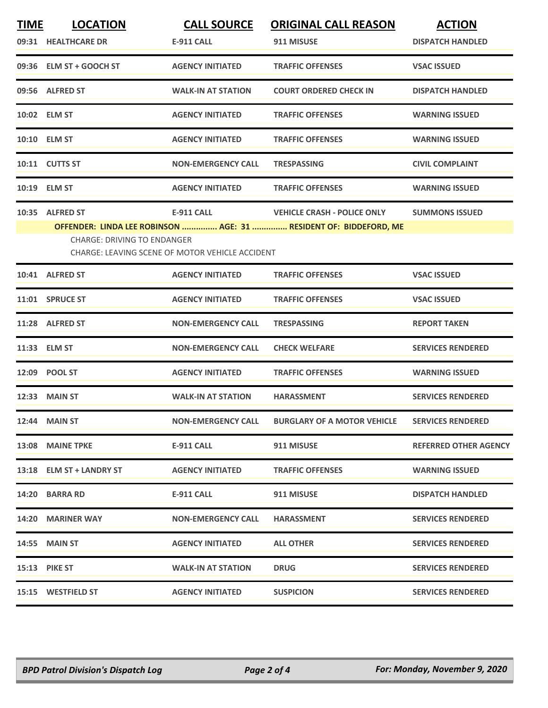| <b>TIME</b> | <b>LOCATION</b>                                                                       | <b>CALL SOURCE</b>        | <b>ORIGINAL CALL REASON</b>                                                                             | <b>ACTION</b>                |  |
|-------------|---------------------------------------------------------------------------------------|---------------------------|---------------------------------------------------------------------------------------------------------|------------------------------|--|
|             | 09:31 HEALTHCARE DR                                                                   | <b>E-911 CALL</b>         | 911 MISUSE                                                                                              | <b>DISPATCH HANDLED</b>      |  |
|             | 09:36 ELM ST + GOOCH ST                                                               | <b>AGENCY INITIATED</b>   | <b>TRAFFIC OFFENSES</b>                                                                                 | <b>VSAC ISSUED</b>           |  |
|             | 09:56 ALFRED ST                                                                       | <b>WALK-IN AT STATION</b> | <b>COURT ORDERED CHECK IN</b>                                                                           | <b>DISPATCH HANDLED</b>      |  |
|             | 10:02 ELM ST                                                                          | <b>AGENCY INITIATED</b>   | <b>TRAFFIC OFFENSES</b>                                                                                 | <b>WARNING ISSUED</b>        |  |
|             | 10:10 ELM ST                                                                          | <b>AGENCY INITIATED</b>   | <b>TRAFFIC OFFENSES</b>                                                                                 | <b>WARNING ISSUED</b>        |  |
|             | 10:11 CUTTS ST                                                                        | <b>NON-EMERGENCY CALL</b> | <b>TRESPASSING</b>                                                                                      | <b>CIVIL COMPLAINT</b>       |  |
|             | 10:19 ELM ST                                                                          | <b>AGENCY INITIATED</b>   | <b>TRAFFIC OFFENSES</b>                                                                                 | <b>WARNING ISSUED</b>        |  |
|             | 10:35 ALFRED ST                                                                       | <b>E-911 CALL</b>         | <b>VEHICLE CRASH - POLICE ONLY</b><br>OFFENDER: LINDA LEE ROBINSON  AGE: 31  RESIDENT OF: BIDDEFORD, ME | <b>SUMMONS ISSUED</b>        |  |
|             | <b>CHARGE: DRIVING TO ENDANGER</b><br>CHARGE: LEAVING SCENE OF MOTOR VEHICLE ACCIDENT |                           |                                                                                                         |                              |  |
|             | 10:41 ALFRED ST                                                                       | <b>AGENCY INITIATED</b>   | <b>TRAFFIC OFFENSES</b>                                                                                 | <b>VSAC ISSUED</b>           |  |
|             | 11:01 SPRUCE ST                                                                       | <b>AGENCY INITIATED</b>   | <b>TRAFFIC OFFENSES</b>                                                                                 | <b>VSAC ISSUED</b>           |  |
|             | 11:28 ALFRED ST                                                                       | <b>NON-EMERGENCY CALL</b> | <b>TRESPASSING</b>                                                                                      | <b>REPORT TAKEN</b>          |  |
|             | 11:33 ELM ST                                                                          | <b>NON-EMERGENCY CALL</b> | <b>CHECK WELFARE</b>                                                                                    | <b>SERVICES RENDERED</b>     |  |
|             | 12:09 POOL ST                                                                         | <b>AGENCY INITIATED</b>   | <b>TRAFFIC OFFENSES</b>                                                                                 | <b>WARNING ISSUED</b>        |  |
|             | <b>12:33 MAIN ST</b>                                                                  | <b>WALK-IN AT STATION</b> | <b>HARASSMENT</b>                                                                                       | <b>SERVICES RENDERED</b>     |  |
|             | 12:44 MAIN ST                                                                         | <b>NON-EMERGENCY CALL</b> | <b>BURGLARY OF A MOTOR VEHICLE</b>                                                                      | <b>SERVICES RENDERED</b>     |  |
|             | 13:08 MAINE TPKE                                                                      | E-911 CALL                | 911 MISUSE                                                                                              | <b>REFERRED OTHER AGENCY</b> |  |
|             | 13:18 ELM ST + LANDRY ST                                                              | <b>AGENCY INITIATED</b>   | <b>TRAFFIC OFFENSES</b>                                                                                 | <b>WARNING ISSUED</b>        |  |
|             | 14:20 BARRA RD                                                                        | E-911 CALL                | 911 MISUSE                                                                                              | <b>DISPATCH HANDLED</b>      |  |
|             | 14:20 MARINER WAY                                                                     | <b>NON-EMERGENCY CALL</b> | <b>HARASSMENT</b>                                                                                       | <b>SERVICES RENDERED</b>     |  |
|             | <b>14:55 MAIN ST</b>                                                                  | <b>AGENCY INITIATED</b>   | <b>ALL OTHER</b>                                                                                        | <b>SERVICES RENDERED</b>     |  |
|             | <b>15:13 PIKE ST</b>                                                                  | <b>WALK-IN AT STATION</b> | <b>DRUG</b>                                                                                             | <b>SERVICES RENDERED</b>     |  |
|             | 15:15 WESTFIELD ST                                                                    | <b>AGENCY INITIATED</b>   | <b>SUSPICION</b>                                                                                        | <b>SERVICES RENDERED</b>     |  |
|             |                                                                                       |                           |                                                                                                         |                              |  |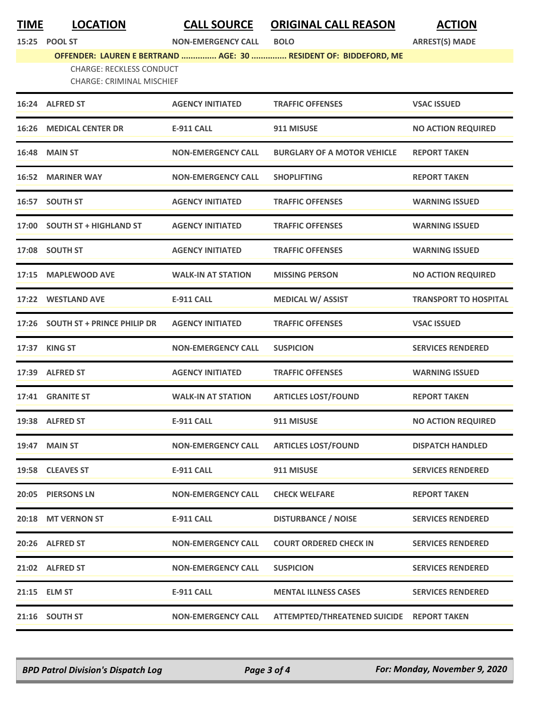**TIME LOCATION CALL SOURCE ORIGINAL CALL REASON ACTION**

**15:25 POOL ST NON-EMERGENCY CALL BOLO ARREST(S) MADE**

## **OFFENDER: LAUREN E BERTRAND ............... AGE: 30 ............... RESIDENT OF: BIDDEFORD, ME**

CHARGE: RECKLESS CONDUCT CHARGE: CRIMINAL MISCHIEF

|       | 16:24 ALFRED ST                    | <b>AGENCY INITIATED</b>   | <b>TRAFFIC OFFENSES</b>                   | <b>VSAC ISSUED</b>           |
|-------|------------------------------------|---------------------------|-------------------------------------------|------------------------------|
| 16:26 | <b>MEDICAL CENTER DR</b>           | <b>E-911 CALL</b>         | 911 MISUSE                                | <b>NO ACTION REQUIRED</b>    |
| 16:48 | <b>MAIN ST</b>                     | <b>NON-EMERGENCY CALL</b> | <b>BURGLARY OF A MOTOR VEHICLE</b>        | <b>REPORT TAKEN</b>          |
| 16:52 | <b>MARINER WAY</b>                 | <b>NON-EMERGENCY CALL</b> | <b>SHOPLIFTING</b>                        | <b>REPORT TAKEN</b>          |
|       | 16:57 SOUTH ST                     | <b>AGENCY INITIATED</b>   | <b>TRAFFIC OFFENSES</b>                   | <b>WARNING ISSUED</b>        |
|       | 17:00 SOUTH ST + HIGHLAND ST       | <b>AGENCY INITIATED</b>   | <b>TRAFFIC OFFENSES</b>                   | <b>WARNING ISSUED</b>        |
| 17:08 | <b>SOUTH ST</b>                    | <b>AGENCY INITIATED</b>   | <b>TRAFFIC OFFENSES</b>                   | <b>WARNING ISSUED</b>        |
| 17:15 | <b>MAPLEWOOD AVE</b>               | <b>WALK-IN AT STATION</b> | <b>MISSING PERSON</b>                     | <b>NO ACTION REQUIRED</b>    |
|       | 17:22 WESTLAND AVE                 | E-911 CALL                | <b>MEDICAL W/ ASSIST</b>                  | <b>TRANSPORT TO HOSPITAL</b> |
| 17:26 | <b>SOUTH ST + PRINCE PHILIP DR</b> | <b>AGENCY INITIATED</b>   | <b>TRAFFIC OFFENSES</b>                   | <b>VSAC ISSUED</b>           |
| 17:37 | <b>KING ST</b>                     | <b>NON-EMERGENCY CALL</b> | <b>SUSPICION</b>                          | <b>SERVICES RENDERED</b>     |
| 17:39 | <b>ALFRED ST</b>                   | <b>AGENCY INITIATED</b>   | <b>TRAFFIC OFFENSES</b>                   | <b>WARNING ISSUED</b>        |
| 17:41 | <b>GRANITE ST</b>                  | <b>WALK-IN AT STATION</b> | <b>ARTICLES LOST/FOUND</b>                | <b>REPORT TAKEN</b>          |
| 19:38 | <b>ALFRED ST</b>                   | <b>E-911 CALL</b>         | 911 MISUSE                                | <b>NO ACTION REQUIRED</b>    |
| 19:47 | <b>MAIN ST</b>                     | <b>NON-EMERGENCY CALL</b> | <b>ARTICLES LOST/FOUND</b>                | <b>DISPATCH HANDLED</b>      |
|       | 19:58 CLEAVES ST                   | <b>E-911 CALL</b>         | 911 MISUSE                                | <b>SERVICES RENDERED</b>     |
|       | 20:05 PIERSONS LN                  | <b>NON-EMERGENCY CALL</b> | <b>CHECK WELFARE</b>                      | <b>REPORT TAKEN</b>          |
|       | 20:18 MT VERNON ST                 | <b>E-911 CALL</b>         | <b>DISTURBANCE / NOISE</b>                | <b>SERVICES RENDERED</b>     |
|       | 20:26 ALFRED ST                    | <b>NON-EMERGENCY CALL</b> | <b>COURT ORDERED CHECK IN</b>             | <b>SERVICES RENDERED</b>     |
|       | 21:02 ALFRED ST                    | <b>NON-EMERGENCY CALL</b> | <b>SUSPICION</b>                          | <b>SERVICES RENDERED</b>     |
| 21:15 | <b>ELM ST</b>                      | <b>E-911 CALL</b>         | <b>MENTAL ILLNESS CASES</b>               | <b>SERVICES RENDERED</b>     |
|       | 21:16 SOUTH ST                     | <b>NON-EMERGENCY CALL</b> | ATTEMPTED/THREATENED SUICIDE REPORT TAKEN |                              |